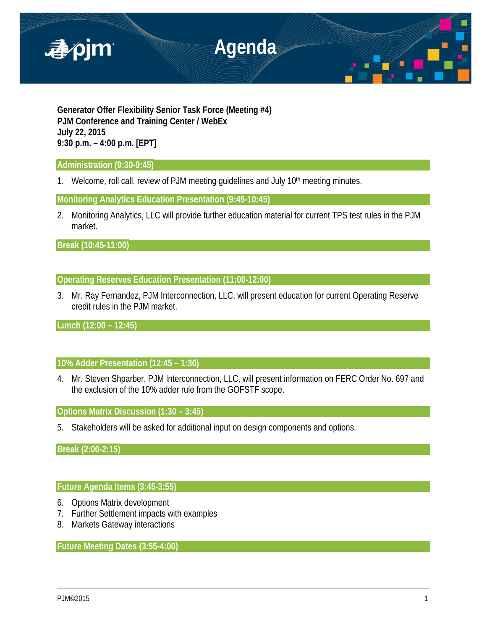

**Generator Offer Flexibility Senior Task Force (Meeting #4) PJM Conference and Training Center / WebEx July 22, 2015 9:30 p.m. – 4:00 p.m. [EPT]**

# **Administration (9:30-9:45)**

1. Welcome, roll call, review of PJM meeting guidelines and July 10<sup>th</sup> meeting minutes.

**Monitoring Analytics Education Presentation (9:45-10:45)** 

2. Monitoring Analytics, LLC will provide further education material for current TPS test rules in the PJM market.

**Break (10:45-11:00)** 

# **Operating Reserves Education Presentation (11:00-12:00)**

3. Mr. Ray Fernandez, PJM Interconnection, LLC, will present education for current Operating Reserve credit rules in the PJM market.

**Lunch (12:00 – 12:45)**

# **10% Adder Presentation (12:45 – 1:30)**

4. Mr. Steven Shparber, PJM Interconnection, LLC, will present information on FERC Order No. 697 and the exclusion of the 10% adder rule from the GOFSTF scope.

**Options Matrix Discussion (1:30 – 3:45)**

5. Stakeholders will be asked for additional input on design components and options.

**Break (2:00-2:15)**

# **Future Agenda Items (3:45-3:55)**

- 6. Options Matrix development
- 7. Further Settlement impacts with examples
- 8. Markets Gateway interactions

**Future Meeting Dates (3:55-4:00)**